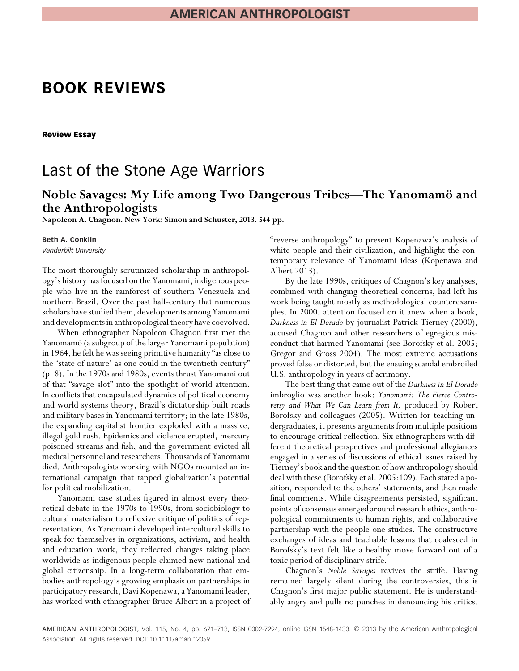## **BOOK REVIEWS**

**Review Essay**

## Last of the Stone Age Warriors

# Noble Savages: My Life among Two Dangerous Tribes—The Yanomamö and the Anthropologists

**Napoleon A. Chagnon. New York: Simon and Schuster, 2013. 544 pp.**

### **Beth A. Conklin**

*Vanderbilt University*

The most thoroughly scrutinized scholarship in anthropology's history has focused on the Yanomami, indigenous people who live in the rainforest of southern Venezuela and northern Brazil. Over the past half-century that numerous scholars have studied them, developments among Yanomami and developments in anthropological theory have coevolved.

When ethnographer Napoleon Chagnon first met the Yanomamö (a subgroup of the larger Yanomami population) in 1964, he felt he was seeing primitive humanity "as close to the 'state of nature' as one could in the twentieth century" (p. 8). In the 1970s and 1980s, events thrust Yanomami out of that "savage slot" into the spotlight of world attention. In conflicts that encapsulated dynamics of political economy and world systems theory, Brazil's dictatorship built roads and military bases in Yanomami territory; in the late 1980s, the expanding capitalist frontier exploded with a massive, illegal gold rush. Epidemics and violence erupted, mercury poisoned streams and fish, and the government evicted all medical personnel and researchers. Thousands of Yanomami died. Anthropologists working with NGOs mounted an international campaign that tapped globalization's potential for political mobilization.

Yanomami case studies figured in almost every theoretical debate in the 1970s to 1990s, from sociobiology to cultural materialism to reflexive critique of politics of representation. As Yanomami developed intercultural skills to speak for themselves in organizations, activism, and health and education work, they reflected changes taking place worldwide as indigenous people claimed new national and global citizenship. In a long-term collaboration that embodies anthropology's growing emphasis on partnerships in participatory research, Davi Kopenawa, a Yanomami leader, has worked with ethnographer Bruce Albert in a project of "reverse anthropology" to present Kopenawa's analysis of white people and their civilization, and highlight the contemporary relevance of Yanomami ideas (Kopenawa and Albert 2013).

By the late 1990s, critiques of Chagnon's key analyses, combined with changing theoretical concerns, had left his work being taught mostly as methodological counterexamples. In 2000, attention focused on it anew when a book, *Darkness in El Dorado* by journalist Patrick Tierney (2000), accused Chagnon and other researchers of egregious misconduct that harmed Yanomami (see Borofsky et al. 2005; Gregor and Gross 2004). The most extreme accusations proved false or distorted, but the ensuing scandal embroiled U.S. anthropology in years of acrimony.

The best thing that came out of the *Darkness in El Dorado* imbroglio was another book: *Yanomami: The Fierce Controversy and What We Can Learn from It,* produced by Robert Borofsky and colleagues (2005). Written for teaching undergraduates, it presents arguments from multiple positions to encourage critical reflection. Six ethnographers with different theoretical perspectives and professional allegiances engaged in a series of discussions of ethical issues raised by Tierney's book and the question of how anthropology should deal with these (Borofsky et al. 2005:109). Each stated a position, responded to the others' statements, and then made final comments. While disagreements persisted, significant points of consensus emerged around research ethics, anthropological commitments to human rights, and collaborative partnership with the people one studies. The constructive exchanges of ideas and teachable lessons that coalesced in Borofsky's text felt like a healthy move forward out of a toxic period of disciplinary strife.

Chagnon's *Noble Savages* revives the strife. Having remained largely silent during the controversies, this is Chagnon's first major public statement. He is understandably angry and pulls no punches in denouncing his critics.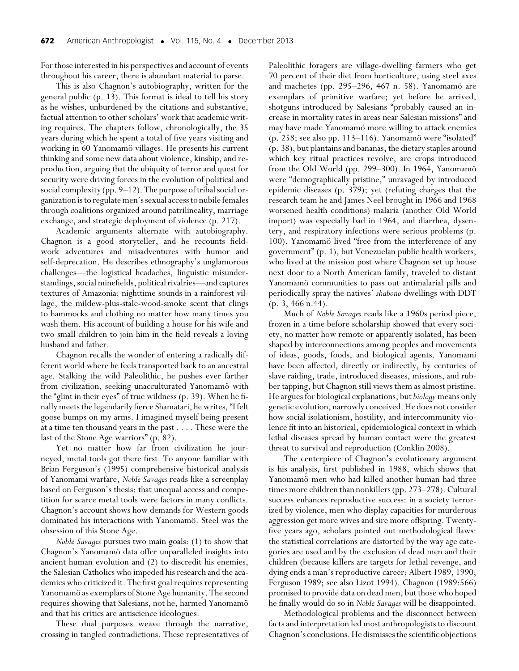For those interested in his perspectives and account of events throughout his career, there is abundant material to parse.

This is also Chagnon's autobiography, written for the general public (p. 13). This format is ideal to tell his story as he wishes, unburdened by the citations and substantive, factual attention to other scholars' work that academic writing requires. The chapters follow, chronologically, the 35 years during which he spent a total of five years visiting and working in 60 Yanomamö villages. He presents his current thinking and some new data about violence, kinship, and reproduction, arguing that the ubiquity of terror and quest for security were driving forces in the evolution of political and social complexity (pp.  $9-12$ ). The purpose of tribal social organization isto regulate men's sexual accessto nubile females through coalitions organized around patrilineality, marriage exchange, and strategic deployment of violence (p. 217).

Academic arguments alternate with autobiography. Chagnon is a good storyteller, and he recounts fieldwork adventures and misadventures with humor and self-deprecation. He describes ethnography's unglamorous challenges—the logistical headaches, linguistic misunderstandings, social minefields, political rivalries—and captures textures of Amazonia: nighttime sounds in a rainforest village, the mildew-plus-stale-wood-smoke scent that clings to hammocks and clothing no matter how many times you wash them. His account of building a house for his wife and two small children to join him in the field reveals a loving husband and father.

Chagnon recalls the wonder of entering a radically different world where he feels transported back to an ancestral age. Stalking the wild Paleolithic, he pushes ever farther from civilization, seeking unacculturated Yanomamö with the "glint in their eyes" of true wildness (p. 39). When he finally meets the legendarily fierce Shamatari, he writes, "I felt goose bumps on my arms. I imagined myself being present at a time ten thousand years in the past . . . . These were the last of the Stone Age warriors" (p. 82).

Yet no matter how far from civilization he journeyed, metal tools got there first. To anyone familiar with Brian Ferguson's (1995) comprehensive historical analysis of Yanomami warfare, *Noble Savages* reads like a screenplay based on Ferguson's thesis: that unequal access and competition for scarce metal tools were factors in many conflicts. Chagnon's account shows how demands for Western goods dominated his interactions with Yanomamö. Steel was the obsession of this Stone Age.

*Noble Savages* pursues two main goals: (1) to show that Chagnon's Yanomamö data offer unparalleled insights into ancient human evolution and (2) to discredit his enemies, the Salesian Catholics who impeded his research and the academics who criticized it. The first goal requires representing Yanomamö as exemplars of Stone Age humanity. The second requires showing that Salesians, not he, harmed Yanomamö and that his critics are antiscience ideologues.

These dual purposes weave through the narrative, crossing in tangled contradictions. These representatives of

Paleolithic foragers are village-dwelling farmers who get 70 percent of their diet from horticulture, using steel axes and machetes (pp. 295–296, 467 n. 58). Yanomamö are exemplars of primitive warfare; yet before he arrived, shotguns introduced by Salesians "probably caused an increase in mortality rates in areas near Salesian missions" and may have made Yanomamö more willing to attack enemies (p. 258; see also pp. 113–116). Yanomamö were "isolated" (p. 38), but plantains and bananas, the dietary staples around which key ritual practices revolve, are crops introduced from the Old World (pp. 299–300). In 1964, Yanomamö were "demographically pristine," unravaged by introduced epidemic diseases (p. 379); yet (refuting charges that the research team he and James Neel brought in 1966 and 1968 worsened health conditions) malaria (another Old World import) was especially bad in 1964, and diarrhea, dysentery, and respiratory infections were serious problems (p. 100). Yanomamö lived "free from the interference of any government" (p. 1), but Venezuelan public health workers, who lived at the mission post where Chagnon set up house next door to a North American family, traveled to distant Yanomamö communities to pass out antimalarial pills and periodically spray the natives' *shabono* dwellings with DDT (p. 3, 466 n.44).

Much of *Noble Savages* reads like a 1960s period piece, frozen in a time before scholarship showed that every society, no matter how remote or apparently isolated, has been shaped by interconnections among peoples and movements of ideas, goods, foods, and biological agents. Yanomami have been affected, directly or indirectly, by centuries of slave raiding, trade, introduced diseases, missions, and rubber tapping, but Chagnon still views them as almost pristine. He argues for biological explanations, but*biology* means only genetic evolution, narrowly conceived. He does not consider how social isolationism, hostility, and intercommunity violence fit into an historical, epidemiological context in which lethal diseases spread by human contact were the greatest threat to survival and reproduction (Conklin 2008).

The centerpiece of Chagnon's evolutionary argument is his analysis, first published in 1988, which shows that Yanomamö men who had killed another human had three times more children than nonkillers (pp. 273–278). Cultural success enhances reproductive success: in a society terrorized by violence, men who display capacities for murderous aggression get more wives and sire more offspring. Twentyfive years ago, scholars pointed out methodological flaws: the statistical correlations are distorted by the way age categories are used and by the exclusion of dead men and their children (because killers are targets for lethal revenge, and dying ends a man's reproductive career; Albert 1989, 1990; Ferguson 1989; see also Lizot 1994). Chagnon (1989:566) promised to provide data on dead men, but those who hoped he finally would do so in *Noble Savages* will be disappointed.

Methodological problems and the disconnect between facts and interpretation led most anthropologists to discount Chagnon's conclusions.He dismissesthe scientific objections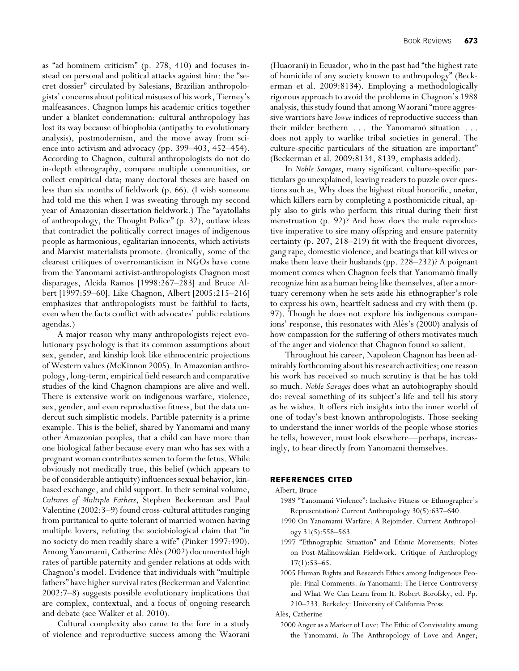as "ad hominem criticism" (p. 278, 410) and focuses instead on personal and political attacks against him: the "secret dossier" circulated by Salesians, Brazilian anthropologists' concerns about political misuses of his work, Tierney's malfeasances. Chagnon lumps his academic critics together under a blanket condemnation: cultural anthropology has lost its way because of biophobia (antipathy to evolutionary analysis), postmodernism, and the move away from science into activism and advocacy (pp. 399–403, 452–454). According to Chagnon, cultural anthropologists do not do in-depth ethnography, compare multiple communities, or collect empirical data; many doctoral theses are based on less than six months of fieldwork (p. 66). (I wish someone had told me this when I was sweating through my second year of Amazonian dissertation fieldwork.) The "ayatollahs of anthropology, the Thought Police" (p. 32), outlaw ideas that contradict the politically correct images of indigenous people as harmonious, egalitarian innocents, which activists and Marxist materialists promote. (Ironically, some of the clearest critiques of overromanticism in NGOs have come from the Yanomami activist-anthropologists Chagnon most disparages, Alcida Ramos [1998:267–283] and Bruce Albert [1997:59–60]. Like Chagnon, Albert [2005:215–216] emphasizes that anthropologists must be faithful to facts, even when the facts conflict with advocates' public relations agendas.)

A major reason why many anthropologists reject evolutionary psychology is that its common assumptions about sex, gender, and kinship look like ethnocentric projections of Western values (McKinnon 2005). In Amazonian anthropology, long-term, empirical field research and comparative studies of the kind Chagnon champions are alive and well. There is extensive work on indigenous warfare, violence, sex, gender, and even reproductive fitness, but the data undercut such simplistic models. Partible paternity is a prime example. This is the belief, shared by Yanomami and many other Amazonian peoples, that a child can have more than one biological father because every man who has sex with a pregnant woman contributes semen to form the fetus. While obviously not medically true, this belief (which appears to be of considerable antiquity) influences sexual behavior, kinbased exchange, and child support. In their seminal volume, *Cultures of Multiple Fathers*, Stephen Beckerman and Paul Valentine (2002:3–9) found cross-cultural attitudes ranging from puritanical to quite tolerant of married women having multiple lovers, refuting the sociobiological claim that "in no society do men readily share a wife" (Pinker 1997:490). Among Yanomami, Catherine Alès (2002) documented high rates of partible paternity and gender relations at odds with Chagnon's model. Evidence that individuals with "multiple fathers" have higher survival rates (Beckerman and Valentine 2002:7–8) suggests possible evolutionary implications that are complex, contextual, and a focus of ongoing research and debate (see Walker et al. 2010).

Cultural complexity also came to the fore in a study of violence and reproductive success among the Waorani (Huaorani) in Ecuador, who in the past had "the highest rate of homicide of any society known to anthropology" (Beckerman et al. 2009:8134). Employing a methodologically rigorous approach to avoid the problems in Chagnon's 1988 analysis, this study found that among Waorani "more aggressive warriors have *lower* indices of reproductive success than their milder brethern . . . the Yanomamö situation . . . does not apply to warlike tribal societies in general. The culture-specific particulars of the situation are important" (Beckerman et al. 2009:8134, 8139, emphasis added).

In *Noble Savages*, many significant culture-specific particulars go unexplained, leaving readers to puzzle over questions such as, Why does the highest ritual honorific, *unokai*, which killers earn by completing a posthomicide ritual, apply also to girls who perform this ritual during their first menstruation (p. 92)? And how does the male reproductive imperative to sire many offspring and ensure paternity certainty (p. 207, 218–219) fit with the frequent divorces, gang rape, domestic violence, and beatings that kill wives or make them leave their husbands (pp. 228–232)? A poignant moment comes when Chagnon feels that Yanomamo finally recognize him as a human being like themselves, after a mortuary ceremony when he sets aside his ethnographer's role to express his own, heartfelt sadness and cry with them (p. 97). Though he does not explore his indigenous companions' response, this resonates with Alès's (2000) analysis of how compassion for the suffering of others motivates much of the anger and violence that Chagnon found so salient.

Throughout his career, Napoleon Chagnon has been admirably forthcoming about his research activities; one reason his work has received so much scrutiny is that he has told so much. *Noble Savages* does what an autobiography should do: reveal something of its subject's life and tell his story as he wishes. It offers rich insights into the inner world of one of today's best-known anthropologists. Those seeking to understand the inner worlds of the people whose stories he tells, however, must look elsewhere—perhaps, increasingly, to hear directly from Yanomami themselves.

## **REFERENCES CITED**

#### Albert, Bruce

- 1989 "Yanomami Violence": Inclusive Fitness or Ethnographer's Representation? Current Anthropology 30(5):637–640.
- 1990 On Yanomami Warfare: A Rejoinder. Current Anthropology 31(5):558–563.
- 1997 "Ethnographic Situation" and Ethnic Movements: Notes on Post-Malinowskian Fieldwork. Critique of Anthroplogy 17(1):53–65.
- 2005 Human Rights and Research Ethics among Indigenous People: Final Comments. *In* Yanomami: The Fierce Controversy and What We Can Learn from It. Robert Borofsky, ed. Pp. 210–233. Berkeley: University of California Press.

#### Alès, Catherine

2000 Anger as a Marker of Love: The Ethic of Conviviality among the Yanomami. *In* The Anthropology of Love and Anger;